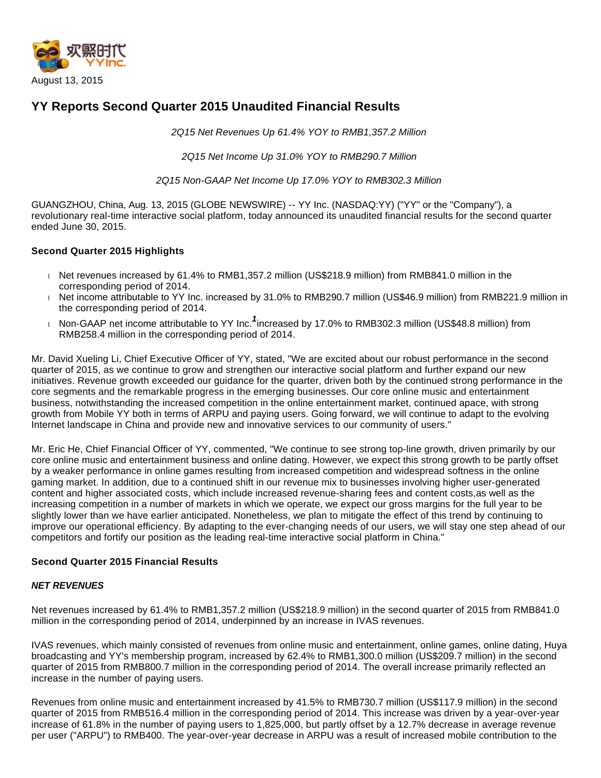

# **YY Reports Second Quarter 2015 Unaudited Financial Results**

2Q15 Net Revenues Up 61.4% YOY to RMB1,357.2 Million

2Q15 Net Income Up 31.0% YOY to RMB290.7 Million

2Q15 Non-GAAP Net Income Up 17.0% YOY to RMB302.3 Million

GUANGZHOU, China, Aug. 13, 2015 (GLOBE NEWSWIRE) -- YY Inc. (NASDAQ:YY) ("YY" or the "Company"), a revolutionary real-time interactive social platform, today announced its unaudited financial results for the second quarter ended June 30, 2015.

# **Second Quarter 2015 Highlights**

- Net revenues increased by 61.4% to RMB1,357.2 million (US\$218.9 million) from RMB841.0 million in the corresponding period of 2014.
- Net income attributable to YY Inc. increased by 31.0% to RMB290.7 million (US\$46.9 million) from RMB221.9 million in the corresponding period of 2014.
- Non-GAAP net income attributable to YY Inc.**<sup>1</sup>** increased by 17.0% to RMB302.3 million (US\$48.8 million) from RMB258.4 million in the corresponding period of 2014.

Mr. David Xueling Li, Chief Executive Officer of YY, stated, "We are excited about our robust performance in the second quarter of 2015, as we continue to grow and strengthen our interactive social platform and further expand our new initiatives. Revenue growth exceeded our guidance for the quarter, driven both by the continued strong performance in the core segments and the remarkable progress in the emerging businesses. Our core online music and entertainment business, notwithstanding the increased competition in the online entertainment market, continued apace, with strong growth from Mobile YY both in terms of ARPU and paying users. Going forward, we will continue to adapt to the evolving Internet landscape in China and provide new and innovative services to our community of users."

Mr. Eric He, Chief Financial Officer of YY, commented, "We continue to see strong top-line growth, driven primarily by our core online music and entertainment business and online dating. However, we expect this strong growth to be partly offset by a weaker performance in online games resulting from increased competition and widespread softness in the online gaming market. In addition, due to a continued shift in our revenue mix to businesses involving higher user-generated content and higher associated costs, which include increased revenue-sharing fees and content costs,as well as the increasing competition in a number of markets in which we operate, we expect our gross margins for the full year to be slightly lower than we have earlier anticipated. Nonetheless, we plan to mitigate the effect of this trend by continuing to improve our operational efficiency. By adapting to the ever-changing needs of our users, we will stay one step ahead of our competitors and fortify our position as the leading real-time interactive social platform in China."

# **Second Quarter 2015 Financial Results**

# **NET REVENUES**

Net revenues increased by 61.4% to RMB1,357.2 million (US\$218.9 million) in the second quarter of 2015 from RMB841.0 million in the corresponding period of 2014, underpinned by an increase in IVAS revenues.

IVAS revenues, which mainly consisted of revenues from online music and entertainment, online games, online dating, Huya broadcasting and YY's membership program, increased by 62.4% to RMB1,300.0 million (US\$209.7 million) in the second quarter of 2015 from RMB800.7 million in the corresponding period of 2014. The overall increase primarily reflected an increase in the number of paying users.

Revenues from online music and entertainment increased by 41.5% to RMB730.7 million (US\$117.9 million) in the second quarter of 2015 from RMB516.4 million in the corresponding period of 2014. This increase was driven by a year-over-year increase of 61.8% in the number of paying users to 1,825,000, but partly offset by a 12.7% decrease in average revenue per user ("ARPU") to RMB400. The year-over-year decrease in ARPU was a result of increased mobile contribution to the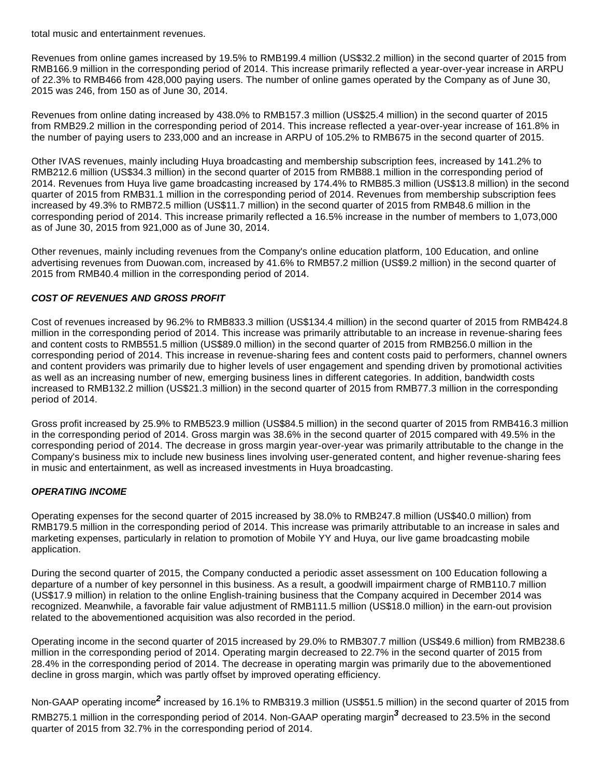total music and entertainment revenues.

Revenues from online games increased by 19.5% to RMB199.4 million (US\$32.2 million) in the second quarter of 2015 from RMB166.9 million in the corresponding period of 2014. This increase primarily reflected a year-over-year increase in ARPU of 22.3% to RMB466 from 428,000 paying users. The number of online games operated by the Company as of June 30, 2015 was 246, from 150 as of June 30, 2014.

Revenues from online dating increased by 438.0% to RMB157.3 million (US\$25.4 million) in the second quarter of 2015 from RMB29.2 million in the corresponding period of 2014. This increase reflected a year-over-year increase of 161.8% in the number of paying users to 233,000 and an increase in ARPU of 105.2% to RMB675 in the second quarter of 2015.

Other IVAS revenues, mainly including Huya broadcasting and membership subscription fees, increased by 141.2% to RMB212.6 million (US\$34.3 million) in the second quarter of 2015 from RMB88.1 million in the corresponding period of 2014. Revenues from Huya live game broadcasting increased by 174.4% to RMB85.3 million (US\$13.8 million) in the second quarter of 2015 from RMB31.1 million in the corresponding period of 2014. Revenues from membership subscription fees increased by 49.3% to RMB72.5 million (US\$11.7 million) in the second quarter of 2015 from RMB48.6 million in the corresponding period of 2014. This increase primarily reflected a 16.5% increase in the number of members to 1,073,000 as of June 30, 2015 from 921,000 as of June 30, 2014.

Other revenues, mainly including revenues from the Company's online education platform, 100 Education, and online advertising revenues from Duowan.com, increased by 41.6% to RMB57.2 million (US\$9.2 million) in the second quarter of 2015 from RMB40.4 million in the corresponding period of 2014.

# **COST OF REVENUES AND GROSS PROFIT**

Cost of revenues increased by 96.2% to RMB833.3 million (US\$134.4 million) in the second quarter of 2015 from RMB424.8 million in the corresponding period of 2014. This increase was primarily attributable to an increase in revenue-sharing fees and content costs to RMB551.5 million (US\$89.0 million) in the second quarter of 2015 from RMB256.0 million in the corresponding period of 2014. This increase in revenue-sharing fees and content costs paid to performers, channel owners and content providers was primarily due to higher levels of user engagement and spending driven by promotional activities as well as an increasing number of new, emerging business lines in different categories. In addition, bandwidth costs increased to RMB132.2 million (US\$21.3 million) in the second quarter of 2015 from RMB77.3 million in the corresponding period of 2014.

Gross profit increased by 25.9% to RMB523.9 million (US\$84.5 million) in the second quarter of 2015 from RMB416.3 million in the corresponding period of 2014. Gross margin was 38.6% in the second quarter of 2015 compared with 49.5% in the corresponding period of 2014. The decrease in gross margin year-over-year was primarily attributable to the change in the Company's business mix to include new business lines involving user-generated content, and higher revenue-sharing fees in music and entertainment, as well as increased investments in Huya broadcasting.

# **OPERATING INCOME**

Operating expenses for the second quarter of 2015 increased by 38.0% to RMB247.8 million (US\$40.0 million) from RMB179.5 million in the corresponding period of 2014. This increase was primarily attributable to an increase in sales and marketing expenses, particularly in relation to promotion of Mobile YY and Huya, our live game broadcasting mobile application.

During the second quarter of 2015, the Company conducted a periodic asset assessment on 100 Education following a departure of a number of key personnel in this business. As a result, a goodwill impairment charge of RMB110.7 million (US\$17.9 million) in relation to the online English-training business that the Company acquired in December 2014 was recognized. Meanwhile, a favorable fair value adjustment of RMB111.5 million (US\$18.0 million) in the earn-out provision related to the abovementioned acquisition was also recorded in the period.

Operating income in the second quarter of 2015 increased by 29.0% to RMB307.7 million (US\$49.6 million) from RMB238.6 million in the corresponding period of 2014. Operating margin decreased to 22.7% in the second quarter of 2015 from 28.4% in the corresponding period of 2014. The decrease in operating margin was primarily due to the abovementioned decline in gross margin, which was partly offset by improved operating efficiency.

Non-GAAP operating income<sup>2</sup> increased by 16.1% to RMB319.3 million (US\$51.5 million) in the second quarter of 2015 from RMB275.1 million in the corresponding period of 2014. Non-GAAP operating margin**<sup>3</sup>** decreased to 23.5% in the second quarter of 2015 from 32.7% in the corresponding period of 2014.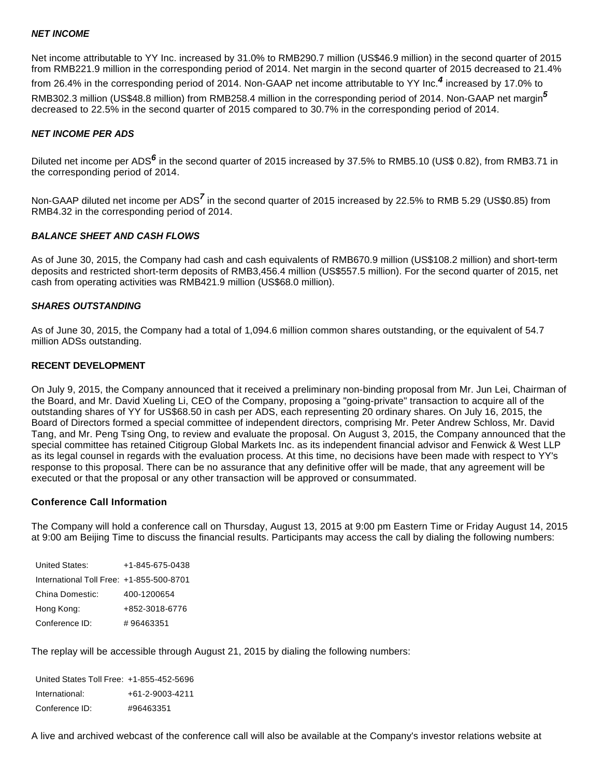### **NET INCOME**

Net income attributable to YY Inc. increased by 31.0% to RMB290.7 million (US\$46.9 million) in the second quarter of 2015 from RMB221.9 million in the corresponding period of 2014. Net margin in the second quarter of 2015 decreased to 21.4% from 26.4% in the corresponding period of 2014. Non-GAAP net income attributable to YY Inc.**<sup>4</sup>** increased by 17.0% to RMB302.3 million (US\$48.8 million) from RMB258.4 million in the corresponding period of 2014. Non-GAAP net margin**<sup>5</sup>** decreased to 22.5% in the second quarter of 2015 compared to 30.7% in the corresponding period of 2014.

### **NET INCOME PER ADS**

Diluted net income per ADS<sup>6</sup> in the second quarter of 2015 increased by 37.5% to RMB5.10 (US\$ 0.82), from RMB3.71 in the corresponding period of 2014.

Non-GAAP diluted net income per ADS<sup>7</sup> in the second quarter of 2015 increased by 22.5% to RMB 5.29 (US\$0.85) from RMB4.32 in the corresponding period of 2014.

# **BALANCE SHEET AND CASH FLOWS**

As of June 30, 2015, the Company had cash and cash equivalents of RMB670.9 million (US\$108.2 million) and short-term deposits and restricted short-term deposits of RMB3,456.4 million (US\$557.5 million). For the second quarter of 2015, net cash from operating activities was RMB421.9 million (US\$68.0 million).

# **SHARES OUTSTANDING**

As of June 30, 2015, the Company had a total of 1,094.6 million common shares outstanding, or the equivalent of 54.7 million ADSs outstanding.

# **RECENT DEVELOPMENT**

On July 9, 2015, the Company announced that it received a preliminary non-binding proposal from Mr. Jun Lei, Chairman of the Board, and Mr. David Xueling Li, CEO of the Company, proposing a "going-private" transaction to acquire all of the outstanding shares of YY for US\$68.50 in cash per ADS, each representing 20 ordinary shares. On July 16, 2015, the Board of Directors formed a special committee of independent directors, comprising Mr. Peter Andrew Schloss, Mr. David Tang, and Mr. Peng Tsing Ong, to review and evaluate the proposal. On August 3, 2015, the Company announced that the special committee has retained Citigroup Global Markets Inc. as its independent financial advisor and Fenwick & West LLP as its legal counsel in regards with the evaluation process. At this time, no decisions have been made with respect to YY's response to this proposal. There can be no assurance that any definitive offer will be made, that any agreement will be executed or that the proposal or any other transaction will be approved or consummated.

# **Conference Call Information**

The Company will hold a conference call on Thursday, August 13, 2015 at 9:00 pm Eastern Time or Friday August 14, 2015 at 9:00 am Beijing Time to discuss the financial results. Participants may access the call by dialing the following numbers:

| United States:                           | +1-845-675-0438 |
|------------------------------------------|-----------------|
| International Toll Free: +1-855-500-8701 |                 |
| China Domestic:                          | 400-1200654     |
| Hong Kong:                               | +852-3018-6776  |
| Conference ID:                           | #96463351       |

The replay will be accessible through August 21, 2015 by dialing the following numbers:

United States Toll Free: +1-855-452-5696 International: +61-2-9003-4211 Conference ID: #96463351

A live and archived webcast of the conference call will also be available at the Company's investor relations website at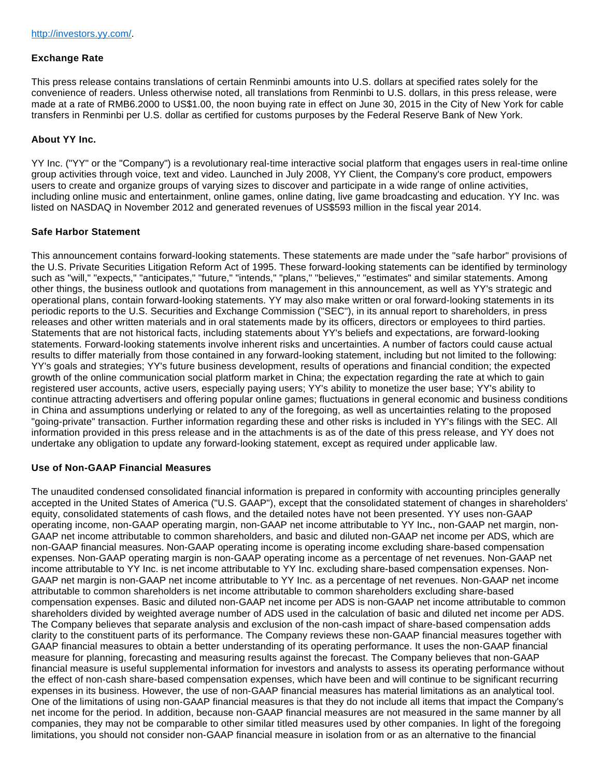# **Exchange Rate**

This press release contains translations of certain Renminbi amounts into U.S. dollars at specified rates solely for the convenience of readers. Unless otherwise noted, all translations from Renminbi to U.S. dollars, in this press release, were made at a rate of RMB6.2000 to US\$1.00, the noon buying rate in effect on June 30, 2015 in the City of New York for cable transfers in Renminbi per U.S. dollar as certified for customs purposes by the Federal Reserve Bank of New York.

## **About YY Inc.**

YY Inc. ("YY" or the "Company") is a revolutionary real-time interactive social platform that engages users in real-time online group activities through voice, text and video. Launched in July 2008, YY Client, the Company's core product, empowers users to create and organize groups of varying sizes to discover and participate in a wide range of online activities, including online music and entertainment, online games, online dating, live game broadcasting and education. YY Inc. was listed on NASDAQ in November 2012 and generated revenues of US\$593 million in the fiscal year 2014.

# **Safe Harbor Statement**

This announcement contains forward-looking statements. These statements are made under the "safe harbor" provisions of the U.S. Private Securities Litigation Reform Act of 1995. These forward-looking statements can be identified by terminology such as "will," "expects," "anticipates," "future," "intends," "plans," "believes," "estimates" and similar statements. Among other things, the business outlook and quotations from management in this announcement, as well as YY's strategic and operational plans, contain forward-looking statements. YY may also make written or oral forward-looking statements in its periodic reports to the U.S. Securities and Exchange Commission ("SEC"), in its annual report to shareholders, in press releases and other written materials and in oral statements made by its officers, directors or employees to third parties. Statements that are not historical facts, including statements about YY's beliefs and expectations, are forward-looking statements. Forward-looking statements involve inherent risks and uncertainties. A number of factors could cause actual results to differ materially from those contained in any forward-looking statement, including but not limited to the following: YY's goals and strategies; YY's future business development, results of operations and financial condition; the expected growth of the online communication social platform market in China; the expectation regarding the rate at which to gain registered user accounts, active users, especially paying users; YY's ability to monetize the user base; YY's ability to continue attracting advertisers and offering popular online games; fluctuations in general economic and business conditions in China and assumptions underlying or related to any of the foregoing, as well as uncertainties relating to the proposed "going-private" transaction. Further information regarding these and other risks is included in YY's filings with the SEC. All information provided in this press release and in the attachments is as of the date of this press release, and YY does not undertake any obligation to update any forward-looking statement, except as required under applicable law.

### **Use of Non-GAAP Financial Measures**

The unaudited condensed consolidated financial information is prepared in conformity with accounting principles generally accepted in the United States of America ("U.S. GAAP"), except that the consolidated statement of changes in shareholders' equity, consolidated statements of cash flows, and the detailed notes have not been presented. YY uses non-GAAP operating income, non-GAAP operating margin, non-GAAP net income attributable to YY Inc**.**, non-GAAP net margin, non-GAAP net income attributable to common shareholders, and basic and diluted non-GAAP net income per ADS, which are non-GAAP financial measures. Non-GAAP operating income is operating income excluding share-based compensation expenses. Non-GAAP operating margin is non-GAAP operating income as a percentage of net revenues. Non-GAAP net income attributable to YY Inc. is net income attributable to YY Inc. excluding share-based compensation expenses. Non-GAAP net margin is non-GAAP net income attributable to YY Inc. as a percentage of net revenues. Non-GAAP net income attributable to common shareholders is net income attributable to common shareholders excluding share-based compensation expenses. Basic and diluted non-GAAP net income per ADS is non-GAAP net income attributable to common shareholders divided by weighted average number of ADS used in the calculation of basic and diluted net income per ADS. The Company believes that separate analysis and exclusion of the non-cash impact of share-based compensation adds clarity to the constituent parts of its performance. The Company reviews these non-GAAP financial measures together with GAAP financial measures to obtain a better understanding of its operating performance. It uses the non-GAAP financial measure for planning, forecasting and measuring results against the forecast. The Company believes that non-GAAP financial measure is useful supplemental information for investors and analysts to assess its operating performance without the effect of non-cash share-based compensation expenses, which have been and will continue to be significant recurring expenses in its business. However, the use of non-GAAP financial measures has material limitations as an analytical tool. One of the limitations of using non-GAAP financial measures is that they do not include all items that impact the Company's net income for the period. In addition, because non-GAAP financial measures are not measured in the same manner by all companies, they may not be comparable to other similar titled measures used by other companies. In light of the foregoing limitations, you should not consider non-GAAP financial measure in isolation from or as an alternative to the financial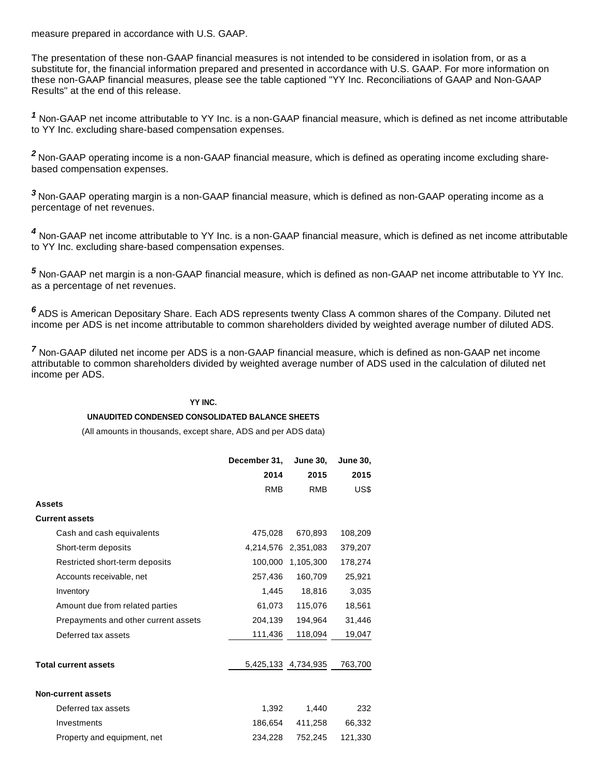measure prepared in accordance with U.S. GAAP.

The presentation of these non-GAAP financial measures is not intended to be considered in isolation from, or as a substitute for, the financial information prepared and presented in accordance with U.S. GAAP. For more information on these non-GAAP financial measures, please see the table captioned "YY Inc. Reconciliations of GAAP and Non-GAAP Results" at the end of this release.

**1** Non-GAAP net income attributable to YY Inc. is a non-GAAP financial measure, which is defined as net income attributable to YY Inc. excluding share-based compensation expenses.

**<sup>2</sup>**Non-GAAP operating income is a non-GAAP financial measure, which is defined as operating income excluding sharebased compensation expenses.

**<sup>3</sup>**Non-GAAP operating margin is a non-GAAP financial measure, which is defined as non-GAAP operating income as a percentage of net revenues.

**4** Non-GAAP net income attributable to YY Inc. is a non-GAAP financial measure, which is defined as net income attributable to YY Inc. excluding share-based compensation expenses.

**5** Non-GAAP net margin is a non-GAAP financial measure, which is defined as non-GAAP net income attributable to YY Inc. as a percentage of net revenues.

**<sup>6</sup>**ADS is American Depositary Share. Each ADS represents twenty Class A common shares of the Company. Diluted net income per ADS is net income attributable to common shareholders divided by weighted average number of diluted ADS.

**7** Non-GAAP diluted net income per ADS is a non-GAAP financial measure, which is defined as non-GAAP net income attributable to common shareholders divided by weighted average number of ADS used in the calculation of diluted net income per ADS.

#### **YY INC.**

### **UNAUDITED CONDENSED CONSOLIDATED BALANCE SHEETS**

(All amounts in thousands, except share, ADS and per ADS data)

|                                      | December 31, | <b>June 30,</b>     | <b>June 30,</b> |
|--------------------------------------|--------------|---------------------|-----------------|
|                                      | 2014         | 2015                | 2015            |
|                                      | <b>RMB</b>   | <b>RMB</b>          | US\$            |
| <b>Assets</b>                        |              |                     |                 |
| <b>Current assets</b>                |              |                     |                 |
| Cash and cash equivalents            | 475,028      | 670,893             | 108,209         |
| Short-term deposits                  |              | 4,214,576 2,351,083 | 379,207         |
| Restricted short-term deposits       | 100,000      | 1,105,300           | 178,274         |
| Accounts receivable, net             | 257,436      | 160,709             | 25,921          |
| Inventory                            | 1,445        | 18,816              | 3,035           |
| Amount due from related parties      | 61,073       | 115,076             | 18,561          |
| Prepayments and other current assets | 204,139      | 194,964             | 31,446          |
| Deferred tax assets                  | 111,436      | 118,094             | 19,047          |
|                                      |              |                     |                 |
| <b>Total current assets</b>          |              | 5,425,133 4,734,935 | 763,700         |
|                                      |              |                     |                 |
| <b>Non-current assets</b>            |              |                     |                 |
| Deferred tax assets                  | 1,392        | 1,440               | 232             |
| Investments                          | 186,654      | 411,258             | 66,332          |
| Property and equipment, net          | 234,228      | 752,245             | 121,330         |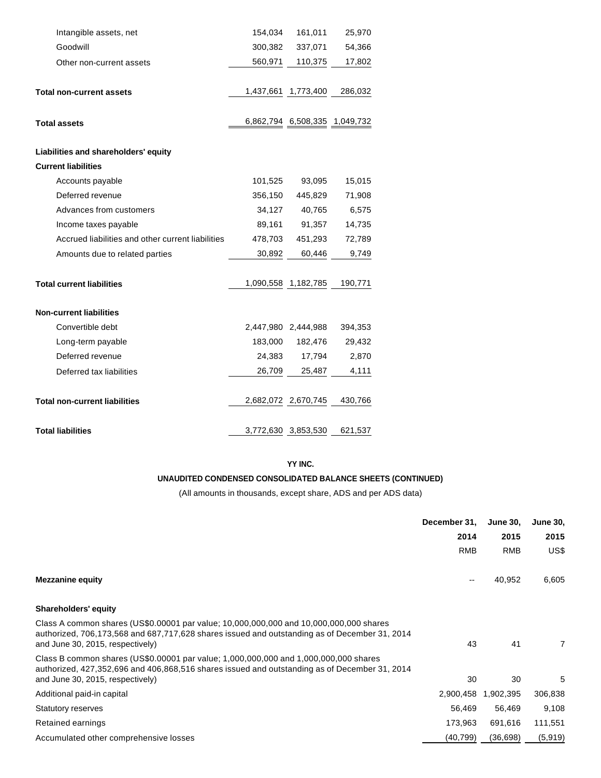| Intangible assets, net                            | 154,034 | 161,011                       | 25,970  |
|---------------------------------------------------|---------|-------------------------------|---------|
| Goodwill                                          | 300,382 | 337,071                       | 54,366  |
| Other non-current assets                          | 560,971 | 110,375                       | 17,802  |
|                                                   |         |                               |         |
| <b>Total non-current assets</b>                   |         | 1,437,661 1,773,400           | 286,032 |
|                                                   |         |                               |         |
| <b>Total assets</b>                               |         | 6,862,794 6,508,335 1,049,732 |         |
| Liabilities and shareholders' equity              |         |                               |         |
| <b>Current liabilities</b>                        |         |                               |         |
| Accounts payable                                  | 101,525 | 93,095                        | 15,015  |
| Deferred revenue                                  | 356,150 | 445,829                       | 71,908  |
| Advances from customers                           | 34,127  | 40,765                        | 6,575   |
| Income taxes payable                              | 89,161  | 91,357                        | 14,735  |
| Accrued liabilities and other current liabilities | 478,703 | 451,293                       | 72,789  |
| Amounts due to related parties                    | 30,892  | 60,446                        | 9,749   |
|                                                   |         |                               |         |
| <b>Total current liabilities</b>                  |         | 1,090,558 1,182,785           | 190,771 |
| <b>Non-current liabilities</b>                    |         |                               |         |
| Convertible debt                                  |         | 2,447,980 2,444,988           | 394,353 |
| Long-term payable                                 | 183,000 | 182,476                       | 29,432  |
| Deferred revenue                                  | 24,383  | 17,794                        | 2,870   |
| Deferred tax liabilities                          | 26,709  | 25,487                        | 4,111   |
|                                                   |         |                               |         |
| <b>Total non-current liabilities</b>              |         | 2,682,072 2,670,745           | 430,766 |
| <b>Total liabilities</b>                          |         | 3,772,630 3,853,530           | 621,537 |

# **UNAUDITED CONDENSED CONSOLIDATED BALANCE SHEETS (CONTINUED)**

(All amounts in thousands, except share, ADS and per ADS data)

|                                                                                                                                                                                                                             | December 31, | <b>June 30,</b> | <b>June 30.</b> |
|-----------------------------------------------------------------------------------------------------------------------------------------------------------------------------------------------------------------------------|--------------|-----------------|-----------------|
|                                                                                                                                                                                                                             | 2014         | 2015            | 2015            |
|                                                                                                                                                                                                                             | <b>RMB</b>   | <b>RMB</b>      | US\$            |
| <b>Mezzanine equity</b>                                                                                                                                                                                                     |              | 40,952          | 6,605           |
| <b>Shareholders' equity</b>                                                                                                                                                                                                 |              |                 |                 |
| Class A common shares (US\$0.00001 par value; 10,000,000,000 and 10,000,000,000 shares<br>authorized, 706,173,568 and 687,717,628 shares issued and outstanding as of December 31, 2014<br>and June 30, 2015, respectively) | 43           | 41              | $\overline{7}$  |
| Class B common shares (US\$0.00001 par value; 1,000,000,000 and 1,000,000,000 shares<br>authorized, 427,352,696 and 406,868,516 shares issued and outstanding as of December 31, 2014<br>and June 30, 2015, respectively)   | 30           | 30              | 5               |
| Additional paid-in capital                                                                                                                                                                                                  | 2,900,458    | 1,902,395       | 306,838         |
| <b>Statutory reserves</b>                                                                                                                                                                                                   | 56,469       | 56,469          | 9,108           |
| Retained earnings                                                                                                                                                                                                           | 173,963      | 691,616         | 111,551         |
| Accumulated other comprehensive losses                                                                                                                                                                                      | (40, 799)    | (36,698)        | (5,919)         |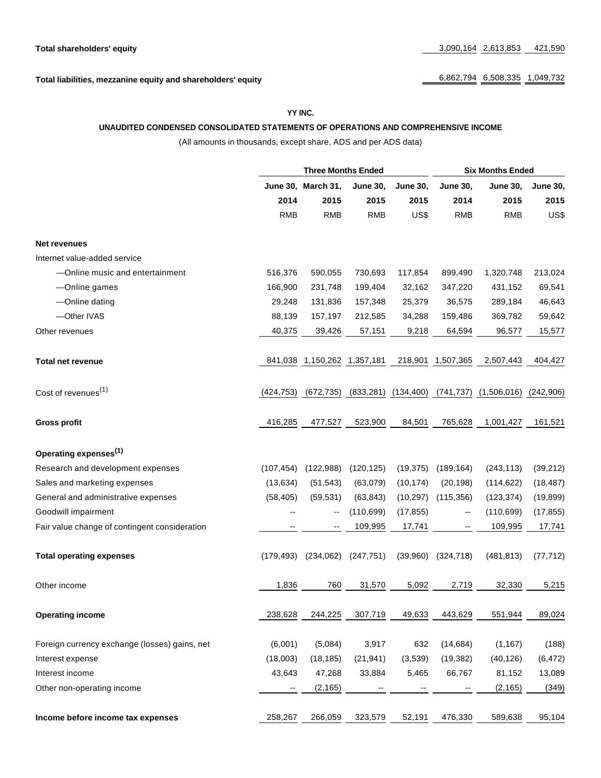Total liabilities, mezzanine equity and shareholders' equity **6,862,794** 6,508,335 1,049,732

#### **YY INC.**

#### **UNAUDITED CONDENSED CONSOLIDATED STATEMENTS OF OPERATIONS AND COMPREHENSIVE INCOME**

(All amounts in thousands, except share, ADS and per ADS data)

| <b>Three Months Ended</b> |            |                                  |                             |                          | <b>Six Months Ended</b> |                 |  |  |
|---------------------------|------------|----------------------------------|-----------------------------|--------------------------|-------------------------|-----------------|--|--|
|                           |            | <b>June 30,</b>                  | <b>June 30,</b>             | <b>June 30,</b>          | <b>June 30,</b>         | <b>June 30,</b> |  |  |
| 2014                      | 2015       | 2015                             | 2015                        | 2014                     | 2015                    | 2015            |  |  |
| <b>RMB</b>                | <b>RMB</b> | <b>RMB</b>                       | US\$                        | <b>RMB</b>               | <b>RMB</b>              | US\$            |  |  |
|                           |            |                                  |                             |                          |                         |                 |  |  |
|                           |            |                                  |                             |                          |                         |                 |  |  |
| 516,376                   | 590,055    | 730,693                          | 117,854                     | 899,490                  | 1,320,748               | 213,024         |  |  |
| 166,900                   | 231,748    | 199,404                          | 32,162                      | 347,220                  | 431,152                 | 69,541          |  |  |
| 29,248                    | 131,836    | 157,348                          | 25,379                      | 36,575                   | 289,184                 | 46,643          |  |  |
| 88,139                    | 157,197    | 212,585                          | 34,288                      | 159,486                  | 369,782                 | 59,642          |  |  |
| 40,375                    | 39,426     | 57,151                           | 9,218                       | 64,594                   | 96,577                  | 15,577          |  |  |
|                           |            |                                  | 218,901                     | 1,507,365                | 2,507,443               | 404,427         |  |  |
| (424, 753)                | (672, 735) | (833, 281)                       | (134, 400)                  | (741, 737)               | (1,506,016)             | (242, 906)      |  |  |
| 416,285                   | 477,527    | 523,900                          | 84,501                      | 765,628                  | 1,001,427               | 161,521         |  |  |
|                           |            |                                  |                             |                          |                         |                 |  |  |
| (107, 454)                | (122, 988) | (120, 125)                       | (19, 375)                   | (189, 164)               | (243, 113)              | (39,212)        |  |  |
| (13, 634)                 | (51, 543)  | (63,079)                         | (10, 174)                   | (20, 198)                | (114, 622)              | (18, 487)       |  |  |
| (58, 405)                 | (59, 531)  | (63, 843)                        | (10, 297)                   | (115, 356)               | (123, 374)              | (19, 899)       |  |  |
|                           | --         | (110, 699)                       | (17, 855)                   | --                       | (110, 699)              | (17, 855)       |  |  |
|                           | --         | 109,995                          | 17,741                      | $\overline{\phantom{a}}$ | 109,995                 | 17,741          |  |  |
|                           | (234, 062) | (247, 751)                       | (39,960)                    | (324, 718)               | (481, 813)              | (77, 712)       |  |  |
| 1,836                     | 760        | 31,570                           | 5,092                       | 2,719                    | 32,330                  | 5,215           |  |  |
| 238,628                   | 244,225    | 307,719                          | 49,633                      | 443,629                  | 551,944                 | 89,024          |  |  |
| (6,001)                   | (5,084)    | 3,917                            | 632                         | (14, 684)                | (1, 167)                | (188)           |  |  |
| (18,003)                  | (18, 185)  | (21, 941)                        | (3,539)                     | (19, 382)                | (40, 126)               | (6, 472)        |  |  |
| 43,643                    | 47,268     | 33,884                           | 5,465                       | 66,767                   | 81,152                  | 13,089          |  |  |
| ۰.                        | (2, 165)   |                                  |                             |                          | (2, 165)                | (349)           |  |  |
| 258,267                   | 266,059    | 323,579                          | 52,191                      | 476,330                  | 589,638                 | 95,104          |  |  |
|                           |            | June 30, March 31,<br>(179, 493) | 841,038 1,150,262 1,357,181 |                          |                         |                 |  |  |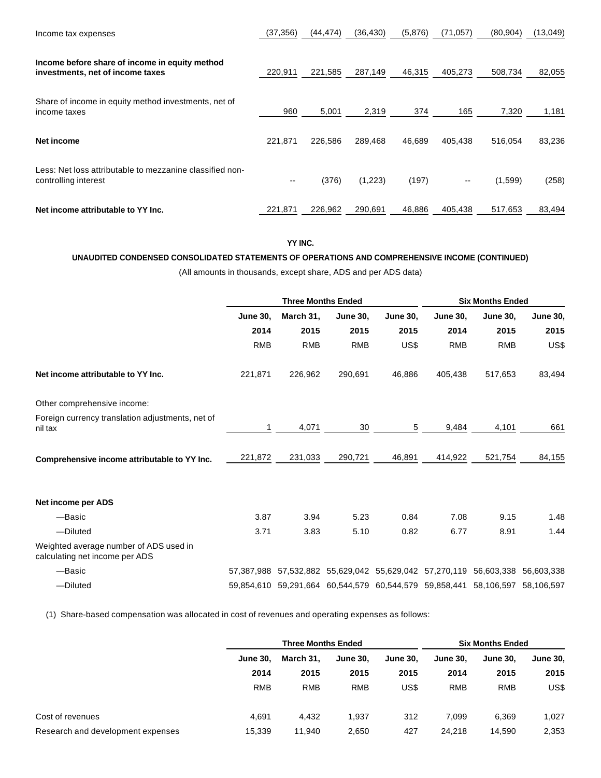| Income tax expenses                                                              | (37, 356)                | (44, 474) | (36, 430) | (5,876) | (71, 057)                | (80, 904) | (13, 049) |
|----------------------------------------------------------------------------------|--------------------------|-----------|-----------|---------|--------------------------|-----------|-----------|
| Income before share of income in equity method                                   |                          |           |           |         |                          |           |           |
| investments, net of income taxes                                                 | 220,911                  | 221,585   | 287,149   | 46,315  | 405,273                  | 508,734   | 82,055    |
| Share of income in equity method investments, net of<br>income taxes             | 960                      | 5,001     | 2,319     | 374     | 165                      | 7,320     | 1,181     |
| Net income                                                                       | 221,871                  | 226,586   | 289,468   | 46,689  | 405,438                  | 516,054   | 83,236    |
| Less: Net loss attributable to mezzanine classified non-<br>controlling interest | $\overline{\phantom{m}}$ | (376)     | (1,223)   | (197)   | $\overline{\phantom{a}}$ | (1,599)   | (258)     |
| Net income attributable to YY Inc.                                               | 221,871                  | 226,962   | 290,691   | 46,886  | 405,438                  | 517,653   | 83,494    |

**UNAUDITED CONDENSED CONSOLIDATED STATEMENTS OF OPERATIONS AND COMPREHENSIVE INCOME (CONTINUED)**

(All amounts in thousands, except share, ADS and per ADS data)

|                                                                          |                 |            | <b>Three Months Ended</b>                                                    |                 |                 | <b>Six Months Ended</b> |                 |  |
|--------------------------------------------------------------------------|-----------------|------------|------------------------------------------------------------------------------|-----------------|-----------------|-------------------------|-----------------|--|
|                                                                          | <b>June 30,</b> | March 31,  | <b>June 30,</b>                                                              | <b>June 30,</b> | <b>June 30,</b> | <b>June 30,</b>         | <b>June 30,</b> |  |
|                                                                          | 2014            | 2015       | 2015                                                                         | 2015            | 2014            | 2015                    | 2015            |  |
|                                                                          | <b>RMB</b>      | <b>RMB</b> | <b>RMB</b>                                                                   | US\$            | <b>RMB</b>      | <b>RMB</b>              | US\$            |  |
| Net income attributable to YY Inc.                                       | 221,871         | 226,962    | 290,691                                                                      | 46,886          | 405,438         | 517,653                 | 83,494          |  |
| Other comprehensive income:                                              |                 |            |                                                                              |                 |                 |                         |                 |  |
| Foreign currency translation adjustments, net of<br>nil tax              |                 | 4,071      | 30                                                                           | 5               | 9,484           | 4,101                   | 661             |  |
| Comprehensive income attributable to YY Inc.                             | 221,872         | 231,033    | 290,721                                                                      | 46,891          | 414,922         | 521,754                 | 84,155          |  |
| Net income per ADS                                                       |                 |            |                                                                              |                 |                 |                         |                 |  |
| -Basic                                                                   | 3.87            | 3.94       | 5.23                                                                         | 0.84            | 7.08            | 9.15                    | 1.48            |  |
| -Diluted                                                                 | 3.71            | 3.83       | 5.10                                                                         | 0.82            | 6.77            | 8.91                    | 1.44            |  |
| Weighted average number of ADS used in<br>calculating net income per ADS |                 |            |                                                                              |                 |                 |                         |                 |  |
| -Basic                                                                   |                 |            | 57,387,988 57,532,882 55,629,042 55,629,042 57,270,119 56,603,338 56,603,338 |                 |                 |                         |                 |  |
| -Diluted                                                                 |                 |            | 59,854,610 59,291,664 60,544,579 60,544,579 59,858,441 58,106,597 58,106,597 |                 |                 |                         |                 |  |

(1) Share-based compensation was allocated in cost of revenues and operating expenses as follows:

|                                   |                 | <b>Three Months Ended</b> |                 |                 |                 | <b>Six Months Ended</b> |                 |  |
|-----------------------------------|-----------------|---------------------------|-----------------|-----------------|-----------------|-------------------------|-----------------|--|
|                                   | <b>June 30.</b> | March 31.                 | <b>June 30.</b> | <b>June 30.</b> | <b>June 30.</b> | <b>June 30.</b>         | <b>June 30,</b> |  |
|                                   | 2014            | 2015                      | 2015            | 2015            | 2014            | 2015                    | 2015            |  |
|                                   | <b>RMB</b>      | <b>RMB</b>                | <b>RMB</b>      | US\$            | <b>RMB</b>      | <b>RMB</b>              | US\$            |  |
| Cost of revenues                  | 4.691           | 4.432                     | 1,937           | 312             | 7.099           | 6,369                   | 1,027           |  |
| Research and development expenses | 15,339          | 11.940                    | 2,650           | 427             | 24.218          | 14.590                  | 2,353           |  |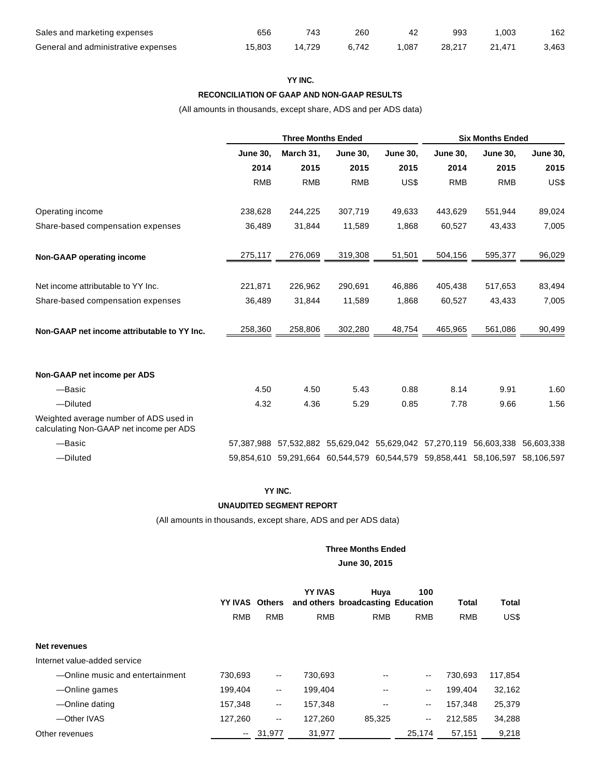| Sales and marketing expenses        | 656    |        | 260   |       | 993    | 1.003  | 162   |
|-------------------------------------|--------|--------|-------|-------|--------|--------|-------|
| General and administrative expenses | 15.803 | 14.729 | 6.742 | 1.087 | 28.217 | 21.471 | 3,463 |

# **RECONCILIATION OF GAAP AND NON-GAAP RESULTS**

(All amounts in thousands, except share, ADS and per ADS data)

|                                                                                   |                 | <b>Three Months Ended</b> |                                                        |                 |                 | <b>Six Months Ended</b> |                 |
|-----------------------------------------------------------------------------------|-----------------|---------------------------|--------------------------------------------------------|-----------------|-----------------|-------------------------|-----------------|
|                                                                                   | <b>June 30.</b> | March 31,                 | <b>June 30,</b>                                        | <b>June 30,</b> | <b>June 30,</b> | <b>June 30,</b>         | <b>June 30,</b> |
|                                                                                   | 2014            | 2015                      | 2015                                                   | 2015            | 2014            | 2015                    | 2015            |
|                                                                                   | <b>RMB</b>      | <b>RMB</b>                | <b>RMB</b>                                             | US\$            | <b>RMB</b>      | <b>RMB</b>              | US\$            |
| Operating income                                                                  | 238,628         | 244,225                   | 307,719                                                | 49,633          | 443,629         | 551,944                 | 89,024          |
| Share-based compensation expenses                                                 | 36,489          | 31,844                    | 11,589                                                 | 1,868           | 60,527          | 43,433                  | 7,005           |
| Non-GAAP operating income                                                         | 275,117         | 276,069                   | 319,308                                                | 51,501          | 504,156         | 595,377                 | 96,029          |
| Net income attributable to YY Inc.                                                | 221,871         | 226,962                   | 290,691                                                | 46,886          | 405,438         | 517,653                 | 83,494          |
| Share-based compensation expenses                                                 | 36,489          | 31,844                    | 11,589                                                 | 1,868           | 60,527          | 43,433                  | 7,005           |
| Non-GAAP net income attributable to YY Inc.                                       | 258,360         | 258,806                   | 302,280                                                | 48,754          | 465,965         | 561,086                 | 90,499          |
| Non-GAAP net income per ADS                                                       |                 |                           |                                                        |                 |                 |                         |                 |
| -Basic                                                                            | 4.50            | 4.50                      | 5.43                                                   | 0.88            | 8.14            | 9.91                    | 1.60            |
| -Diluted                                                                          | 4.32            | 4.36                      | 5.29                                                   | 0.85            | 7.78            | 9.66                    | 1.56            |
| Weighted average number of ADS used in<br>calculating Non-GAAP net income per ADS |                 |                           |                                                        |                 |                 |                         |                 |
| -Basic                                                                            |                 |                           | 57,387,988 57,532,882 55,629,042 55,629,042 57,270,119 |                 |                 | 56,603,338              | 56,603,338      |
| -Diluted                                                                          |                 |                           | 59,854,610 59,291,664 60,544,579 60,544,579 59,858,441 |                 |                 | 58,106,597              | 58,106,597      |

### **YY INC.**

### **UNAUDITED SEGMENT REPORT**

(All amounts in thousands, except share, ADS and per ADS data)

### **Three Months Ended**

### **June 30, 2015**

|                                 | YY IVAS Others           |                          | <b>YY IVAS</b> | Huya<br>and others broadcasting Education | 100                      | <b>Total</b> | Total   |
|---------------------------------|--------------------------|--------------------------|----------------|-------------------------------------------|--------------------------|--------------|---------|
|                                 | <b>RMB</b>               | <b>RMB</b>               | <b>RMB</b>     | <b>RMB</b>                                | <b>RMB</b>               | <b>RMB</b>   | US\$    |
| Net revenues                    |                          |                          |                |                                           |                          |              |         |
| Internet value-added service    |                          |                          |                |                                           |                          |              |         |
| -Online music and entertainment | 730,693                  | $\overline{\phantom{a}}$ | 730,693        |                                           | $-$                      | 730.693      | 117,854 |
| —Online games                   | 199,404                  | --                       | 199,404        | $\overline{\phantom{a}}$                  | $\overline{\phantom{m}}$ | 199.404      | 32,162  |
| -Online dating                  | 157.348                  | $\overline{\phantom{a}}$ | 157.348        |                                           | $\overline{\phantom{m}}$ | 157.348      | 25,379  |
| -Other IVAS                     | 127.260                  | --                       | 127.260        | 85.325                                    | ۰.                       | 212.585      | 34,288  |
| Other revenues                  | $\overline{\phantom{a}}$ | 31.977                   | 31.977         |                                           | 25.174                   | 57.151       | 9,218   |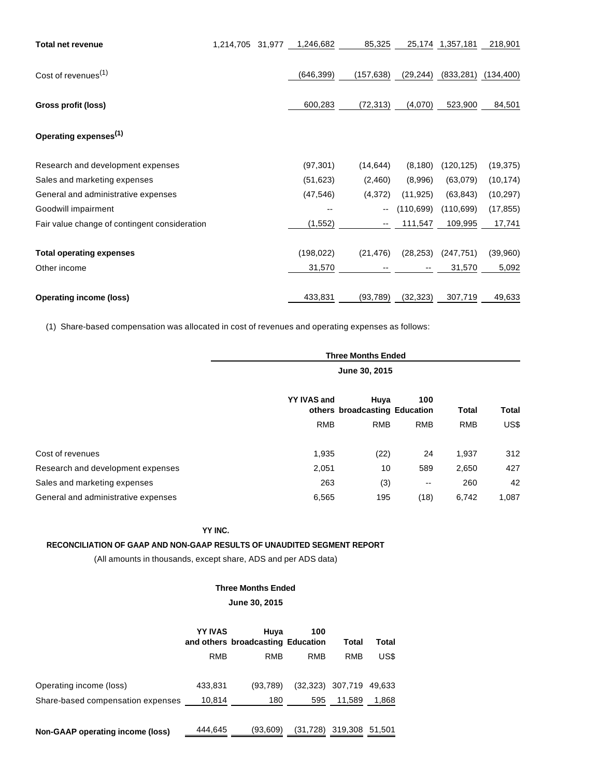| <b>Total net revenue</b>                      | 1,214,705 31,977 | 1,246,682                | 85,325     |            | 25,174 1,357,181 | 218,901    |
|-----------------------------------------------|------------------|--------------------------|------------|------------|------------------|------------|
| Cost of revenues <sup>(1)</sup>               |                  | (646,399)                | (157, 638) | (29, 244)  | (833, 281)       | (134, 400) |
| Gross profit (loss)                           |                  | 600,283                  | (72, 313)  | (4,070)    | 523,900          | 84,501     |
| Operating expenses <sup>(1)</sup>             |                  |                          |            |            |                  |            |
| Research and development expenses             |                  | (97, 301)                | (14, 644)  | (8, 180)   | (120, 125)       | (19, 375)  |
| Sales and marketing expenses                  |                  | (51, 623)                | (2,460)    | (8,996)    | (63,079)         | (10, 174)  |
| General and administrative expenses           |                  | (47, 546)                | (4,372)    | (11, 925)  | (63, 843)        | (10, 297)  |
| Goodwill impairment                           |                  | $\overline{\phantom{m}}$ | $- -$      | (110, 699) | (110, 699)       | (17, 855)  |
| Fair value change of contingent consideration |                  | (1, 552)                 | --         | 111,547    | 109,995          | 17,741     |
| <b>Total operating expenses</b>               |                  | (198, 022)               | (21, 476)  | (28, 253)  | (247, 751)       | (39,960)   |
| Other income                                  |                  | 31,570                   |            |            | 31,570           | 5,092      |
| <b>Operating income (loss)</b>                |                  | 433,831                  | (93, 789)  | (32, 323)  | 307,719          | 49,633     |

(1) Share-based compensation was allocated in cost of revenues and operating expenses as follows:

|                                     | <b>Three Months Ended</b> |                                       |                          |              |       |
|-------------------------------------|---------------------------|---------------------------------------|--------------------------|--------------|-------|
|                                     | June 30, 2015             |                                       |                          |              |       |
|                                     | <b>YY IVAS and</b>        | Huya<br>others broadcasting Education | 100                      | <b>Total</b> | Total |
|                                     | <b>RMB</b>                | <b>RMB</b>                            | <b>RMB</b>               | <b>RMB</b>   | US\$  |
| Cost of revenues                    | 1,935                     | (22)                                  | 24                       | 1,937        | 312   |
| Research and development expenses   | 2,051                     | 10                                    | 589                      | 2,650        | 427   |
| Sales and marketing expenses        | 263                       | (3)                                   | $\overline{\phantom{m}}$ | 260          | 42    |
| General and administrative expenses | 6,565                     | 195                                   | (18)                     | 6,742        | 1,087 |

# **YY INC.**

### **RECONCILIATION OF GAAP AND NON-GAAP RESULTS OF UNAUDITED SEGMENT REPORT**

(All amounts in thousands, except share, ADS and per ADS data)

### **Three Months Ended**

#### **June 30, 2015**

|                                   | <b>YY IVAS</b> | Huya<br>and others broadcasting Education | 100       | Total   | Total  |
|-----------------------------------|----------------|-------------------------------------------|-----------|---------|--------|
|                                   | RMB            | RMB                                       | RMB       | RMB     | US\$   |
| Operating income (loss)           | 433,831        | (93.789)                                  | (32, 323) | 307,719 | 49.633 |
| Share-based compensation expenses | 10,814         | 180                                       | 595       | 11,589  | 1,868  |
| Non-GAAP operating income (loss)  | 444.645        | (93.609)                                  | (31,728)  | 319,308 | 51.501 |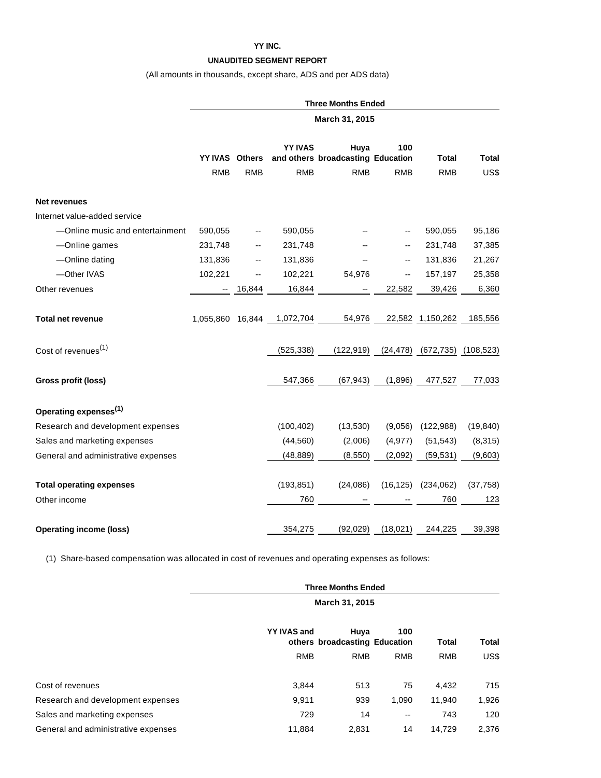# **UNAUDITED SEGMENT REPORT**

(All amounts in thousands, except share, ADS and per ADS data)

|                                     | <b>Three Months Ended</b> |                          |                |                                           |                          |                  |              |  |
|-------------------------------------|---------------------------|--------------------------|----------------|-------------------------------------------|--------------------------|------------------|--------------|--|
|                                     | March 31, 2015            |                          |                |                                           |                          |                  |              |  |
|                                     | YY IVAS Others            |                          | <b>YY IVAS</b> | Huya<br>and others broadcasting Education | 100                      | <b>Total</b>     | <b>Total</b> |  |
|                                     | <b>RMB</b>                | <b>RMB</b>               | <b>RMB</b>     | <b>RMB</b>                                | <b>RMB</b>               | <b>RMB</b>       | US\$         |  |
| Net revenues                        |                           |                          |                |                                           |                          |                  |              |  |
| Internet value-added service        |                           |                          |                |                                           |                          |                  |              |  |
| -Online music and entertainment     | 590,055                   |                          | 590,055        |                                           | --                       | 590,055          | 95,186       |  |
| -Online games                       | 231,748                   |                          | 231,748        |                                           |                          | 231,748          | 37,385       |  |
| -Online dating                      | 131,836                   | --                       | 131,836        |                                           | $\overline{\phantom{a}}$ | 131,836          | 21,267       |  |
| -Other IVAS                         | 102,221                   | $\overline{\phantom{a}}$ | 102,221        | 54,976                                    | $-$                      | 157,197          | 25,358       |  |
| Other revenues                      | $\overline{\phantom{a}}$  | 16,844                   | 16,844         | --                                        | 22,582                   | 39,426           | 6,360        |  |
| <b>Total net revenue</b>            | 1,055,860 16,844          |                          | 1,072,704      | 54,976                                    |                          | 22,582 1,150,262 | 185,556      |  |
| Cost of revenues <sup>(1)</sup>     |                           |                          | (525, 338)     | (122, 919)                                | (24, 478)                | (672, 735)       | (108, 523)   |  |
| <b>Gross profit (loss)</b>          |                           |                          | 547,366        | (67, 943)                                 | (1,896)                  | 477,527          | 77,033       |  |
| Operating expenses <sup>(1)</sup>   |                           |                          |                |                                           |                          |                  |              |  |
| Research and development expenses   |                           |                          | (100, 402)     | (13, 530)                                 | (9,056)                  | (122, 988)       | (19, 840)    |  |
| Sales and marketing expenses        |                           |                          | (44, 560)      | (2,006)                                   | (4, 977)                 | (51, 543)        | (8, 315)     |  |
| General and administrative expenses |                           |                          | (48, 889)      | (8,550)                                   | (2,092)                  | (59, 531)        | (9,603)      |  |
| <b>Total operating expenses</b>     |                           |                          | (193, 851)     | (24,086)                                  | (16, 125)                | (234, 062)       | (37, 758)    |  |
| Other income                        |                           |                          | 760            |                                           |                          | 760              | 123          |  |
| <b>Operating income (loss)</b>      |                           |                          | 354,275        | (92, 029)                                 | (18,021)                 | 244,225          | 39,398       |  |

(1) Share-based compensation was allocated in cost of revenues and operating expenses as follows:

| <b>Three Months Ended</b> |            |                          |                               |              |
|---------------------------|------------|--------------------------|-------------------------------|--------------|
| March 31, 2015            |            |                          |                               |              |
| <b>YY IVAS and</b>        | Huya       | 100                      | Total                         | <b>Total</b> |
| <b>RMB</b>                | <b>RMB</b> | <b>RMB</b>               | <b>RMB</b>                    | US\$         |
|                           | 513        | 75                       | 4,432                         | 715          |
| 9,911                     | 939        | 1,090                    | 11,940                        | 1,926        |
| 729                       | 14         | $\overline{\phantom{m}}$ | 743                           | 120          |
| 11,884                    | 2,831      | 14                       | 14,729                        | 2,376        |
|                           | 3.844      |                          | others broadcasting Education |              |